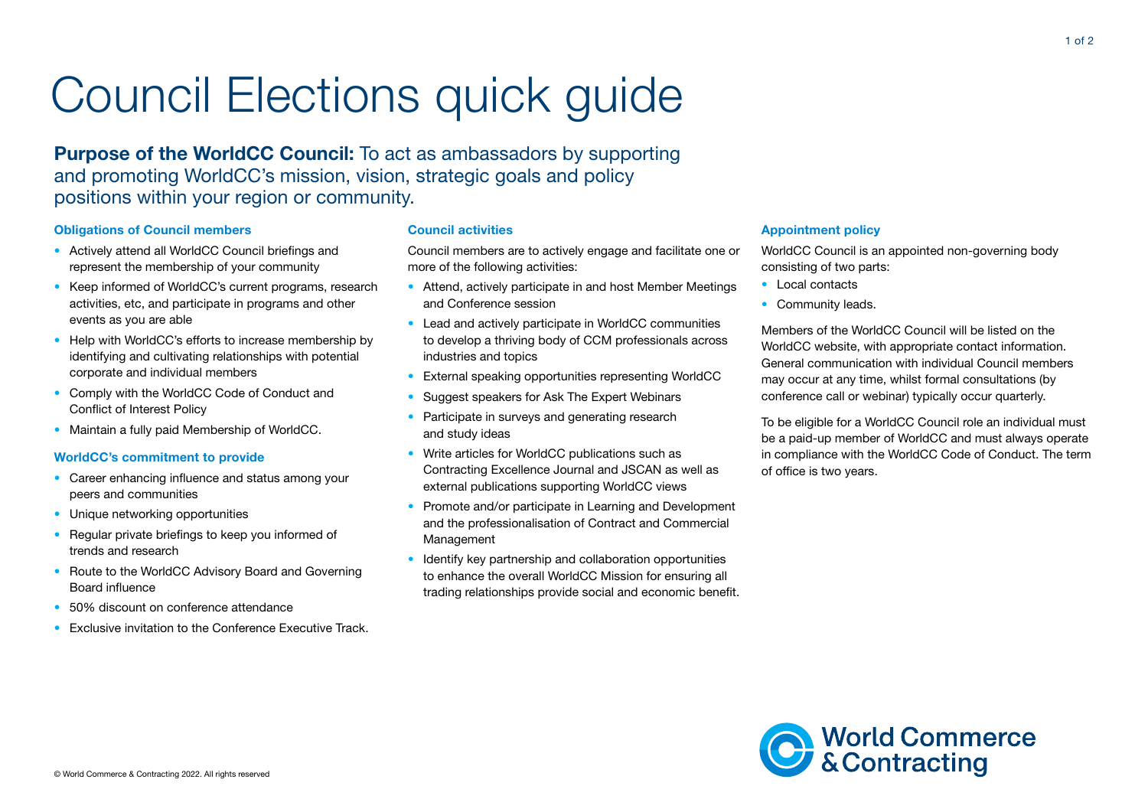# Council Elections quick guide

Purpose of the WorldCC Council: To act as ambassadors by supporting and promoting WorldCC's mission, vision, strategic goals and policy positions within your region or community.

## Obligations of Council members

- Actively attend all WorldCC Council briefings and represent the membership of your community
- Keep informed of WorldCC's current programs, research activities, etc, and participate in programs and other events as you are able
- Help with WorldCC's efforts to increase membership by identifying and cultivating relationships with potential corporate and individual members
- Comply with the WorldCC Code of Conduct and Conflict of Interest Policy
- Maintain a fully paid Membership of WorldCC.

### WorldCC's commitment to provide

- Career enhancing influence and status among your peers and communities
- Unique networking opportunities
- Regular private briefings to keep you informed of trends and research
- Route to the WorldCC Advisory Board and Governing Board influence
- 50% discount on conference attendance
- Exclusive invitation to the Conference Executive Track.

### Council activities

Council members are to actively engage and facilitate one or more of the following activities:

- Attend, actively participate in and host Member Meetings and Conference session
- Lead and actively participate in WorldCC communities to develop a thriving body of CCM professionals across industries and topics
- External speaking opportunities representing WorldCC
- Suggest speakers for Ask The Expert Webinars
- Participate in surveys and generating research and study ideas
- Write articles for WorldCC publications such as Contracting Excellence Journal and JSCAN as well as external publications supporting WorldCC views
- Promote and/or participate in Learning and Development and the professionalisation of Contract and Commercial Management
- Identify key partnership and collaboration opportunities to enhance the overall WorldCC Mission for ensuring all trading relationships provide social and economic benefit.

## Appointment policy

WorldCC Council is an appointed non-governing body consisting of two parts:

- Local contacts
- Community leads.

Members of the WorldCC Council will be listed on the WorldCC website, with appropriate contact information. General communication with individual Council members may occur at any time, whilst formal consultations (by conference call or webinar) typically occur quarterly.

To be eligible for a WorldCC Council role an individual must be a paid-up member of WorldCC and must always operate in compliance with the WorldCC Code of Conduct. The term of office is two years.